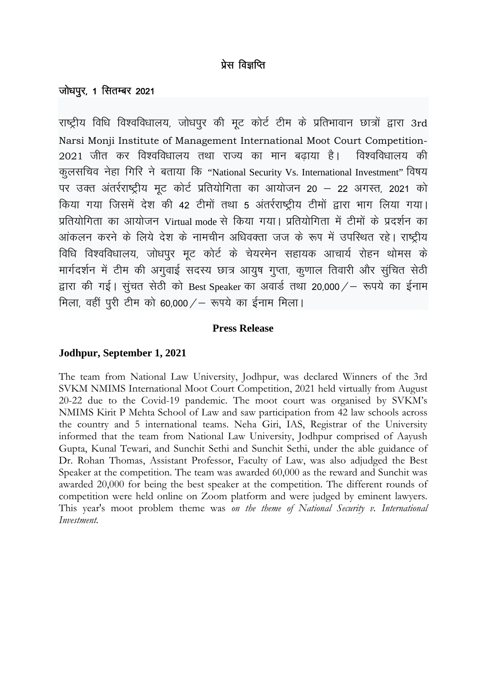# प्रेस विज्ञप्ति

## जोधपुर, 1 सितम्बर 2021

राष्ट्रीय विधि विश्वविधालय, जोधपुर की मृट कोर्ट टीम के प्रतिभावान छात्रों द्वारा 3rd Narsi Monji Institute of Management International Moot Court Competition-2021 जीत कर विश्वविधालय तथा राज्य का मान बढ़ाया है। विश्वविधालय की कुलसचिव नेहा गिरि ने बताया कि "National Security Vs. International Investment" विषय पर उक्त अंतर्रराष्ट्रीय मूट कोर्ट प्रतियोगिता का आयोजन 20 - 22 अगस्त, 2021 को किया गया जिसमें देश की 42 टीमों तथा 5 अंतर्रराष्ट्रीय टीमों द्वारा भाग लिया गया। प्रतियोगिता का आयोजन Virtual mode से किया गया। प्रतियोगिता में टीमों के प्रदर्शन का आंकलन करने के लिये देश के नामचीन अधिवक्ता जज के रूप में उपस्थित रहे। राष्टीय विधि विश्वविधालय, जोधपुर मृट कोर्ट के चेयरमेन सहायक आचार्य रोहन थोमस के मार्गदर्शन में टीम की अगुवाई सदस्य छात्र आयुष गुप्ता, कुणाल तिवारी और सुंचित सेठी द्वारा की गई। सुंचत सेठी को Best Speaker का अवार्ड तथा 20,000 / – रूपये का ईनाम मिला, वहीं परी टीम को 60,000 / - रूपये का ईनाम मिला।

### **Press Release**

### Jodhpur, September 1, 2021

The team from National Law University, Jodhpur, was declared Winners of the 3rd SVKM NMIMS International Moot Court Competition, 2021 held virtually from August 20-22 due to the Covid-19 pandemic. The moot court was organised by SVKM's NMIMS Kirit P Mehta School of Law and saw participation from 42 law schools across the country and 5 international teams. Neha Giri, IAS, Registrar of the University informed that the team from National Law University, Jodhpur comprised of Aayush Gupta, Kunal Tewari, and Sunchit Sethi and Sunchit Sethi, under the able guidance of Dr. Rohan Thomas, Assistant Professor, Faculty of Law, was also adjudged the Best Speaker at the competition. The team was awarded 60,000 as the reward and Sunchit was awarded 20,000 for being the best speaker at the competition. The different rounds of competition were held online on Zoom platform and were judged by eminent lawyers. This year's moot problem theme was on the theme of National Security v. International Investment.